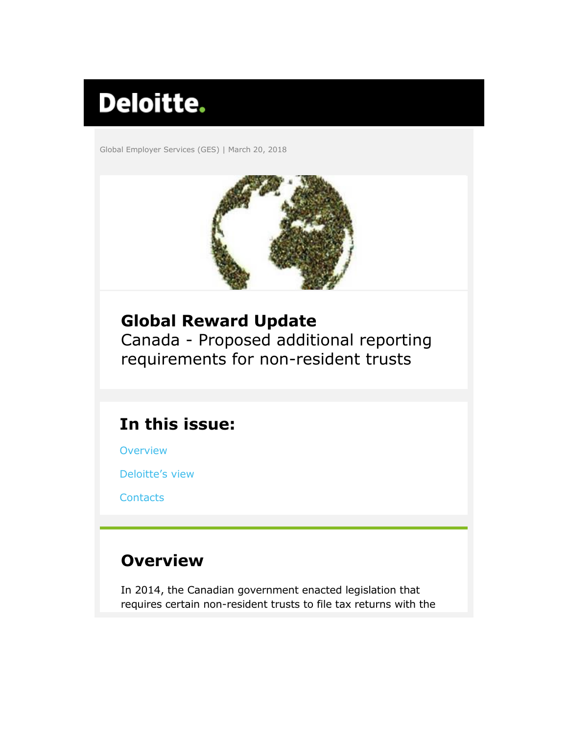# **Deloitte.**

Global Employer Services (GES) | March 20, 2018



## <span id="page-0-1"></span>**Global Reward Update**

Canada - Proposed additional reporting requirements for non-resident trusts

# **In this issue:**

**[Overview](#page-0-0)** 

[Deloitte's v](#page-1-0)iew

**[Contacts](#page-2-0)** 

## <span id="page-0-0"></span>**Overview**

In 2014, the Canadian government enacted legislation that requires certain non-resident trusts to file tax returns with the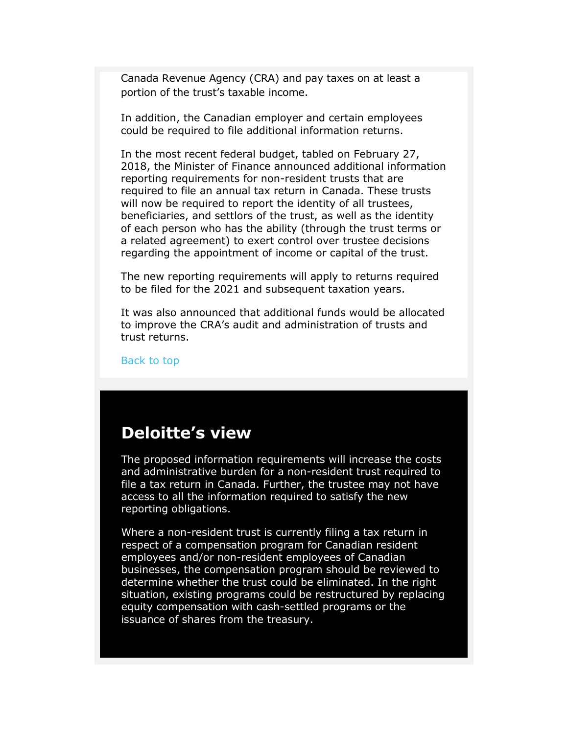Canada Revenue Agency (CRA) and pay taxes on at least a portion of the trust's taxable income.

In addition, the Canadian employer and certain employees could be required to file additional information returns.

In the most recent federal budget, tabled on February 27, 2018, the Minister of Finance announced additional information reporting requirements for non-resident trusts that are required to file an annual tax return in Canada. These trusts will now be required to report the identity of all trustees, beneficiaries, and settlors of the trust, as well as the identity of each person who has the ability (through the trust terms or a related agreement) to exert control over trustee decisions regarding the appointment of income or capital of the trust.

The new reporting requirements will apply to returns required to be filed for the 2021 and subsequent taxation years.

It was also announced that additional funds would be allocated to improve the CRA's audit and administration of trusts and trust returns.

[Back to top](#page-0-1)

### <span id="page-1-0"></span>**Deloitte's view**

The proposed information requirements will increase the costs and administrative burden for a non-resident trust required to file a tax return in Canada. Further, the trustee may not have access to all the information required to satisfy the new reporting obligations.

Where a non-resident trust is currently filing a tax return in respect of a compensation program for Canadian resident employees and/or non-resident employees of Canadian businesses, the compensation program should be reviewed to determine whether the trust could be eliminated. In the right situation, existing programs could be restructured by replacing equity compensation with cash-settled programs or the issuance of shares from the treasury.